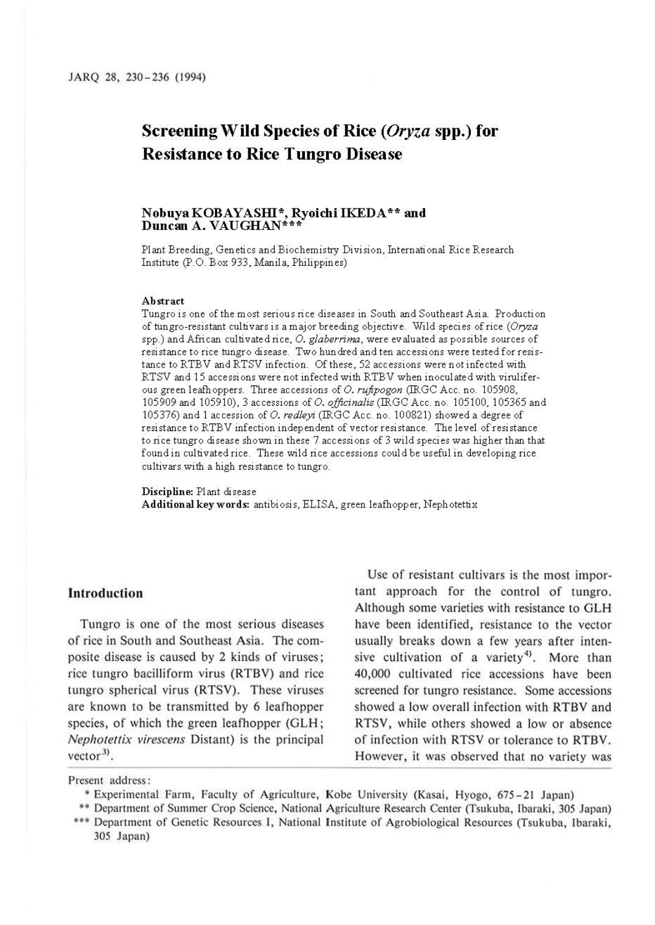# **Screening Wild Species of Rice** ( *Oryza* **spp.) for Resistance to Rice Tungro Disease**

# **NobuyaKOBAYASIIl\*, RyoichiIKEDA\*\* and Duncan A. VAUGHAN\*\*\***

Plant Breeding, Genetics and Biochemistty Division, International Rice Research Institute (P.O. Box 933, Manila, Philippines)

#### **Abstract**

Tungro is one of the most serious rice diseases in South and Southeast Asia. Production of tungro-resistant cultivars is a major breeding objective. Wild species of rice (Oryza spp.) and African cultivated rice, 0. *glaberrima,* were evaluated as possible sources of resistance to rice tungro disease. Two hundred and ten accessions were tested for resistance to RTBV andRTSV infection. Of these, 52 accessions were not infected with RTSV and 15 accessions were not infected with RTBV when inoculated with viruliferous green leafhoppers. Three accessions of 0. *rufipogon* (IRGC Acc. no. 105908, 105909 and 105910), 3 accessions of 0. *officinalis(IRGCAcc.* no. 105100, 105365 and 105376) and 1 accession of 0. *redleyi* (IRGC Acc. no. 100821) showed a degree of resistance to RTBV infection independent of vector resistance. The level of resistance to rice tungro disease shown in these 7 accessions of 3 wild species was higher than that found in cultivated rice. These wild rice accessions could be useful in developing rice cultivars with a high resistance to tungro.

**Discipline:** Pl ant disease Additional key words: antibiosis, ELISA, green leafhopper, Neph otettix

# **Introduction**

Tungro is one of the most serious diseases of rice in South and Southeast Asia. The composite disease is caused by 2 kinds of viruses; rice tungro bacilliform virus (RTBV) and rice tungro spherical virus (RTSV). These viruses are known to be transmitted by 6 leafhopper species, of which the green leafhopper (GLH; Nephoteflix virescens Distant) is the principal  $vector<sup>3</sup>$ .

Use of resistant cultivars is the most important approach for the control of tungro. Although some varieties with resistance to GLH have been identified, resistance to the vector usually breaks down a few years after intensive cultivation of a variety<sup>4)</sup>. More than 40,000 cultivated rice accessions have been screened for tungro resistance. Some accessions showed a low overall infection with RTBV and RTSV, while others showed a low or absence of infection with RTSV or tolerance to RTBV. However, it was observed that no variety was

Present address:

- Experimental Farm, Faculty of Agriculture, Kobe University (Kasai, Hyogo, 675-21 Japan)
- \*\* Department of Summer Crop Science, National Agriculture Research Center (Tsukuba, lbaraki, 305 Japan)
- ••• Department of Genetic Resources I, National Institute of Agrobiological Resources (Tsukuba, Jbaraki, 305 Japan)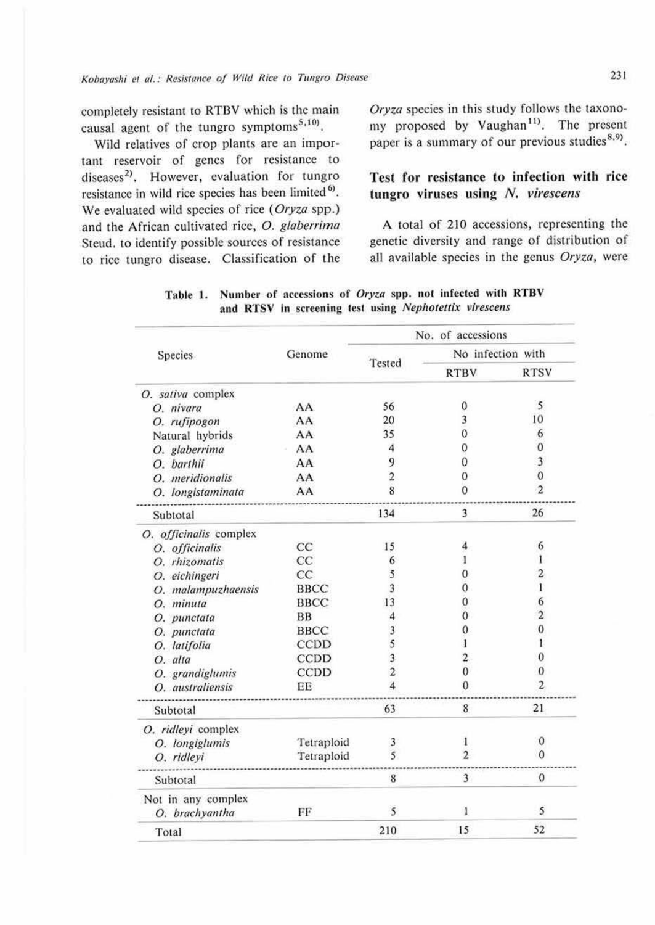completely resistant to RTBV which is the main causal agent of the tungro symptoms<sup>5,10</sup>).

Wild relatives of crop plants are an important reservoir of genes for resistance to diseases<sup>2)</sup>. However, evaluation for tungro resistance in wild rice species has been limited<sup>6)</sup>. We evaluated wild species of rice (Oryza spp.) and the African cultivated rice, 0. glaberrima Steud, to identify possible sources of resistance to rice tungro disease. Classification of the Oryza species in this study follows the taxonomy proposed by Vaughan<sup>11</sup>. The present paper is a summary of our previous studies<sup>8,9)</sup>.

# **Test for resistance to infection with rice tungro viruses using** *N. virescens*

A total of 210 accessions, representing the genetic diversity and range of distribution of all available species in the genus Oryza, were

|                        |             |                | No. of accessions       |                   |  |  |
|------------------------|-------------|----------------|-------------------------|-------------------|--|--|
| Species                | Genome      | Tested         |                         | No infection with |  |  |
|                        |             |                | <b>RTBV</b>             | <b>RTSV</b>       |  |  |
| O. sativa complex      |             |                |                         |                   |  |  |
| O. nivara              | AA          | 56             | 0                       | 5                 |  |  |
| O. rufipogon           | AA          | 20             | 3                       | 10                |  |  |
| Natural hybrids        | AA          | 35             | 0                       | 6                 |  |  |
| O. glaberrima          | AA          | 4              | 0                       | 0                 |  |  |
| O. barthii             | AA          | 9              | 0                       | 3                 |  |  |
| O. meridionalis        | AA          | $\overline{2}$ | 0                       | $\mathbf{0}$      |  |  |
| O. longistaminata      | AA          | 8              | $\theta$                | $\overline{2}$    |  |  |
| Subtotal               |             | 134            | 3                       | 26                |  |  |
| O. officinalis complex |             |                |                         |                   |  |  |
| O. officinalis         | CC          | 15             | 4                       | 6                 |  |  |
| O. rhizomatis          | CC          | 6              |                         | 1                 |  |  |
| O. eichingeri          | CC          | 5              |                         | 2                 |  |  |
| O. malampuzhaensis     | <b>BBCC</b> | 3              | 0                       | 1                 |  |  |
| O. minuta              | <b>BBCC</b> | 13             | 0                       | 6                 |  |  |
| O. punctata            | <b>BB</b>   |                | O                       | $\overline{c}$    |  |  |
| O. punctata            | <b>BBCC</b> | 3              | 0                       | 0                 |  |  |
| O. latifolia           | CCDD        | 5              |                         |                   |  |  |
| O. alta                | CCDD        | 3              | $\overline{\mathbf{c}}$ | 0                 |  |  |
| O. grandiglumis        | CCDD        | $\overline{c}$ | $\theta$                | 0                 |  |  |
| O. australiensis       | EE          | 4              | 0                       | $\mathbf{2}$      |  |  |
| Subtotal               |             | 63             | 8                       | 21                |  |  |
| O. ridleyi complex     |             |                |                         |                   |  |  |
| O. longiglumis         | Tetraploid  | 3              |                         | $\bf{0}$          |  |  |
| O. ridleyi             | Tetraploid  | 5              | 2                       | $\mathbf{0}$      |  |  |
| Subtotal               |             | 8              | 3                       | $\theta$          |  |  |
| Not in any complex     |             |                |                         |                   |  |  |
| O. brachyantha         | FF          | 5              | 1                       | 5                 |  |  |
| Total                  |             | 210            | 15                      | 52                |  |  |

Table 1. Number of accessions of *Oryza* spp. not infected with RTBV and **RTSV** in screening test using *Nephotettix virescens*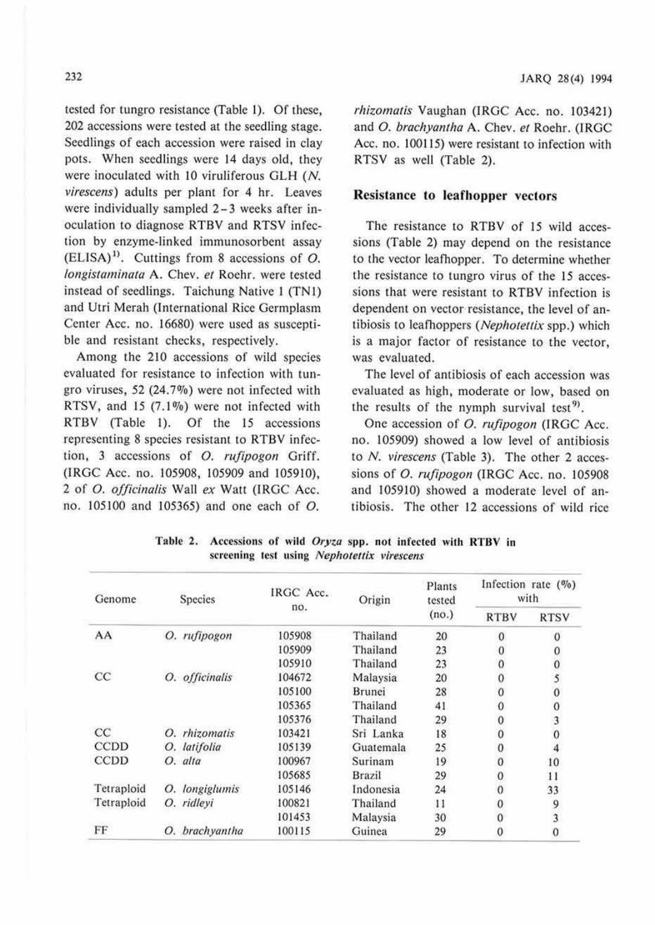tested for tungro resistance (Table 1). Of these, 202 accessions were tested at the seedling stage. Seedlings of each accession were raised in clay pots. When seedlings were 14 days old, they were inoculated with 10 viruliferous GLH (N. *virescens)* adults per plant for 4 hr. Leaves were individually sampled 2-3 weeks after inoculation to diagnose RTBV and RTSV infection by enzyme-linked immunosorbent assay (ELISA) <sup>1</sup> >. Cuttings from 8 accessions of *0. longistaminata* A. Chev. *et* Roehr. were tested instead of seedlings. Taichung Native 1 (TN1) and Utri Merah (International Rice Germplasm Center Acc. no. 16680) were used as susceptible and resistant checks, respectively.

Among the 210 accessions of wild species evaluated for resistance to infection with tungro viruses, 52 (24. 7%) were not infected with RTSV, and 15  $(7.1\%)$  were not infected with RTBV (Table I). Of the 15 accessions representing 8 species resistant to RTBV infection, 3 accessions of *0. rufipogon* Griff. (IRGC Acc. no. 105908, 105909 and 105910), 2 of *0. officinalis* Wall *ex* Watt (IRGC Acc. no. 105100 and 105365) and one each of *0.* 

*rhizomatis* Vaughan (IRGC Acc. no. 103421) and *0. brachyantha* **A.** Chev. *et* Roehr. (TRGC Acc. no. 100115) were resistant to infection with RTSV as well (Table 2).

#### **Resistance to leafhopper vectors**

The resistance to RTBV of 15 wild accessions (Table 2) may depend on the resistance to the vector leafnopper. To determine whether the resistance to tungro virus of the 15 accessions that were resistant to RTBV infection is dependent on vector resistance, the level of antibiosis to leafhoppers (Nephotettix spp.) which is a major factor of resistance to the vector, was evaluated.

The level of antibiosis of each accession was evaluated as high, moderate or low, based on the results of the nymph survival test<sup>9</sup>.

One accession of *0. rujipogon* (IRGC Acc. no. 105909) showed a low level of antibiosis to N. *virescens* (Table 3). The other 2 accessions of *0. rujipogon* (IRGC Acc. no. 105908 and 105910) showed a moderate level of antibiosis. The other 12 accessions of wild rice

| Species<br>Genome |                   | IRGC Acc. | Origin    | Plants<br>tested<br>(no.) | Infection rate $(\%)$<br>with |             |
|-------------------|-------------------|-----------|-----------|---------------------------|-------------------------------|-------------|
|                   |                   | no.       |           |                           | <b>RTBV</b>                   | <b>RTSV</b> |
| AA                | O. rufipogon      | 105908    | Thailand  | 20                        | $\bf{0}$                      | $\Omega$    |
|                   |                   | 105909    | Thailand  | 23                        | 0                             | 0           |
|                   |                   | 105910    | Thailand  | 23                        | $\theta$                      |             |
| CC                | O. officinalis    | 104672    | Malaysia  | 20                        | $\Omega$                      |             |
|                   | 105100            | Brunei    | 28        | $\mathbf{0}$              |                               |             |
|                   | 105365            | Thailand  | 41        | 0                         | 0                             |             |
|                   | 105376            | Thailand  | 29        | $\mathbf{0}$              | 3                             |             |
| CC                | rhizomatis<br>Ο.  | 103421    | Sri Lanka | 18                        | $\mathbf{0}$                  |             |
| <b>CCDD</b>       | O. latifolia      | 105139    | Guatemala | 25                        | $\theta$                      |             |
| <b>CCDD</b>       | O. alta           | 100967    | Surinam   | 19                        | $\theta$                      | 10          |
|                   | 105685            | Brazil    | 29        | $\mathbf{0}$              | 11                            |             |
| Tetraploid        | longiglumis<br>О. | 105146    | Indonesia | 24                        | $\mathbf{0}$                  | 33          |
| Tetraploid        | O. ridleyi        | 100821    | Thailand  | 11                        | $\bf{0}$                      | 9           |
|                   |                   | 101453    | Malaysia  | 30                        | $\mathbf{0}$                  | 3           |
| FF                | O. brachyantha    | 100115    | Guinea    | 29                        | 0                             | 0           |

Table 2. Accessions of wild *Oryza* spp. not infected with RTBV in screening test using *Nephotettix virescens*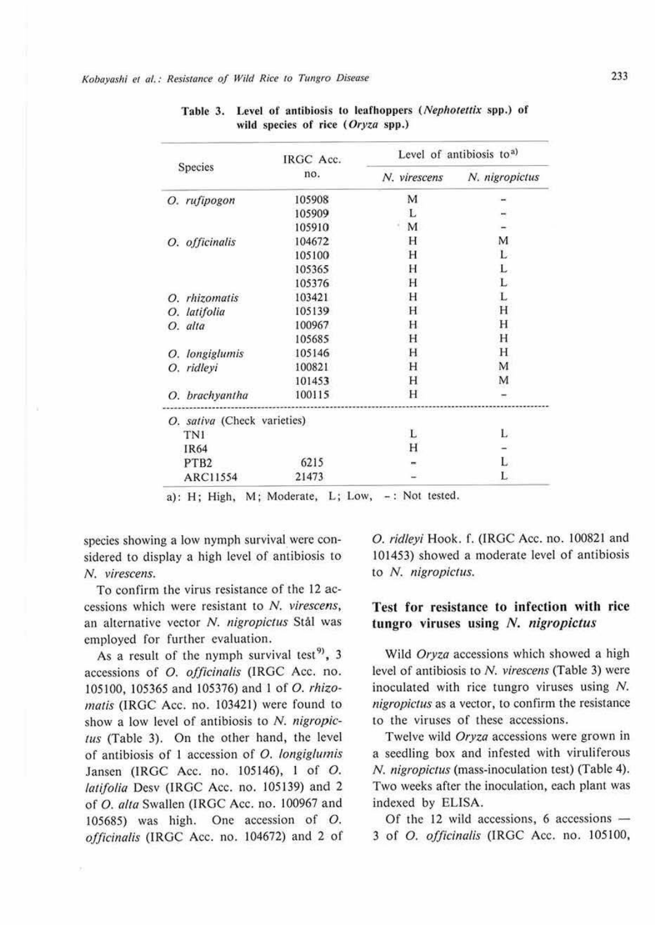|                             | IRGC Acc. | Level of antibiosis to <sup>a)</sup> |                |  |
|-----------------------------|-----------|--------------------------------------|----------------|--|
| Species                     | no.       | N. virescens                         | N. nigropictus |  |
| O. rufipogon                | 105908    | M                                    |                |  |
|                             | 105909    | L                                    |                |  |
|                             | 105910    | M                                    |                |  |
| O. officinalis              | 104672    | Н                                    | M              |  |
|                             | 105100    | Н                                    | L              |  |
|                             | 105365    | Н                                    | L              |  |
|                             | 105376    | Н                                    | L              |  |
| O. rhizomatis               | 103421    | Н                                    | L              |  |
| latifolia<br>Ο.             | 105139    | Н                                    | H              |  |
| O. alta                     | 100967    | Н                                    | Н              |  |
|                             | 105685    | H                                    | Н              |  |
| longiglumis<br>О.           | 105146    | Н                                    | Н              |  |
| ridleyi<br>Ο.               | 100821    | Н                                    | M              |  |
|                             | 101453    | Н                                    | M              |  |
| O. brachyantha              | 100115    | Н                                    |                |  |
| O. sativa (Check varieties) |           |                                      |                |  |
| TN1                         |           | L                                    | L              |  |
| IR64                        |           | Н                                    |                |  |
| PTB <sub>2</sub>            | 6215      |                                      | L              |  |
| <b>ARC11554</b>             | 21473     |                                      | L              |  |

Table 3. Level of antibiosis *to* leafhoppers *(Nephotetlix* spp.) of wild species of rice ( *Oryza* spp.)

a): H; High, M; Moderate, L; Low, -: Not tested.

species showing a low nymph survival were considered to display a high level of antibiosis to N. *virescens.* 

To confirm the virus resistance of the 12 accessions which were resistant to *N. virescens,*  an ahcrnative vector *N. nigropictus* Stal was employed for further evaluation.

As a result of the nymph survival test<sup>9</sup>, 3 accessions of *0. officinalis* (IRGC Acc. no. 105100, 105365 and 105376) and I of *0. rhizomaris* (IRGC Acc. no. 103421) were found to show a low level of antibiosis to *N. nigropicrus* (Table 3). On the other hand, the level of antibiosis of I accession of *0 . longiglumis*  Jansen (IRGC Acc. no. 105146), I of *0. latifolia* Desv (IRGC Acc. no. 105139) and 2 of *0 . a/ta* Swallen (IRGC Acc. no. 100967 and 105685) was high. One accession of *0. officinalis* (IRGC Acc. no. 104672) and 2 of

*0. ridleyi* Hook. f. (IRGC Acc. no. 100821 and 101453) showed a moderate level of antibiosis to *N. nigropictus.* 

# **Test for resistance to infection with rice**  tungro viruses using N. *nigropictus*

Wild *Oryza* accessions which showed a high level of antibiosis to *N. virescens* (Table 3) were inoculated with rice tungro viruses using N. *nigropictus* as a vector, to confirm the resistance to the viruses of these accessions.

Twelve wild *Oryza* accessions were grown in a seedling box and infested with viruliferous N. *nigropic/Us* (mass-inoculation test) (Table 4). Two weeks after the inoculation, each plant was indexed by ELISA.

Of the 12 wild accessions, 6 accessions  $-$ 3 of *O. officinalis* (IRGC Acc. no. 105100,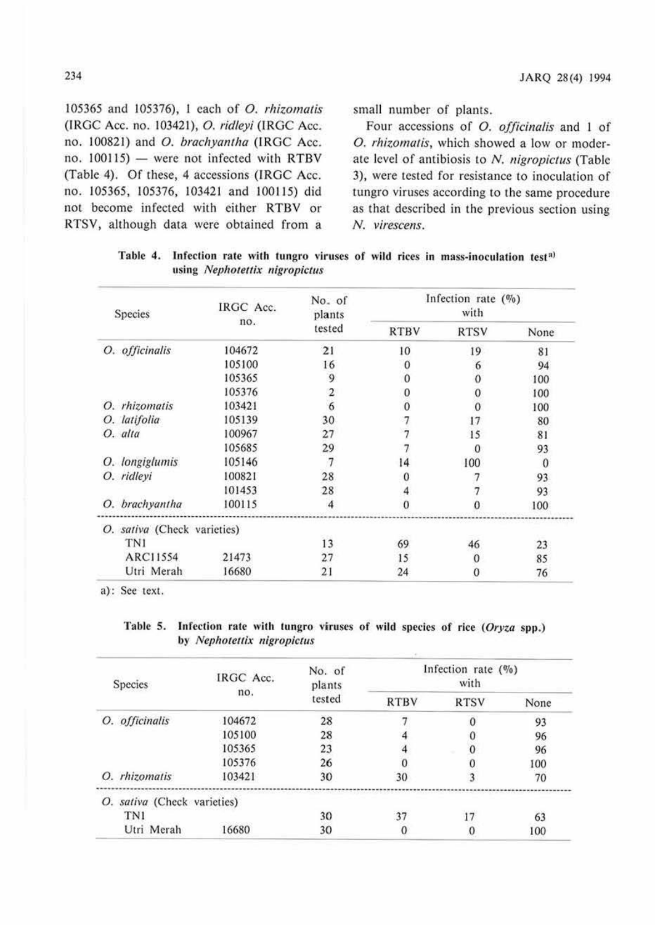105365 and 105376), I each of 0. *rhizomatis*  (IRGC Acc. no. 103421), 0. *ridleyi* (IRGC Acc. no. 100821) and 0. *brachyantha* (lRGC Acc.  $no. 100115$  - were not infected with RTBV (Table 4). Of these, 4 accessions (IRGC Acc. no. 105365, 105376, 103421 and 1001 15) did not become infected with either RTBV or RTSV, although data were obtained from a

small number of plants.

Four accessions of 0. *officinalis* and I of 0 . *rhizomatis,* which showed a low or moderate level of antibiosis lo *N. nigropiclus* (Table 3), were tested for resistance to inoculation of tungro viruses according to the same procedure as that described in the previous section using *N. virescens.* 

| Species                     | IRGC Acc. | No. of<br>plants<br>no.<br>tested |             | Infection rate $(\%)$ |          |
|-----------------------------|-----------|-----------------------------------|-------------|-----------------------|----------|
|                             |           |                                   | <b>RTBV</b> | <b>RTSV</b>           | None     |
| O. officinalis              | 104672    | 21                                | 10          | 19                    | 81       |
|                             | 105100    | 16                                | $\bf{0}$    |                       | 94       |
|                             | 105365    | 9                                 | $\Omega$    |                       | 100      |
|                             | 105376    |                                   | 0           |                       | 100      |
| O. rhizomatis               | 103421    | $rac{2}{6}$                       | $\theta$    |                       | 100      |
| O. latifolia                | 105139    | 30                                |             | 17                    | 80       |
| O. alta                     | 100967    | 27                                |             | 15                    | 81       |
|                             | 105685    | 29                                |             | 0                     | 93       |
| O. longiglumis              | 105146    | $\overline{7}$                    | 14          | 100                   | $\Omega$ |
| O. ridleyi                  | 100821    | 28                                |             |                       | 93       |
|                             | 101453    | 28                                |             |                       | 93       |
| O. brachyantha              | 100115    |                                   |             |                       | 100      |
| O. sativa (Check varieties) |           |                                   |             |                       |          |
| TN1                         |           | 13                                | 69          | 46                    | 23       |
| ARC11554                    | 21473     | 27                                | 15          | 0                     | 85       |
| Utri Merah                  | 16680     | 21                                | 24          |                       | 76       |

Table 4. Infection rate with tungro viruses of wild rices in mass-inoculation test<sup>a)</sup> using *Nephotettix 11igropictus* 

a): See text.

Table 5. Infection rate with tungro viruses of wild species of rice (Oryza spp.) by *Nephotettix nigropictus* 

| Species                        | IRGC Acc.<br>no. | No. of<br>plants<br>tested | Infection rate $(\%)$<br>with |             |      |
|--------------------------------|------------------|----------------------------|-------------------------------|-------------|------|
|                                |                  |                            | <b>RTBV</b>                   | <b>RTSV</b> | None |
| O. officinalis                 | 104672           | 28                         |                               |             | 93   |
|                                | 105100           | 28                         |                               |             | 96   |
|                                | 105365           | 23                         |                               |             | 96   |
|                                | 105376           | 26                         |                               |             | 100  |
| O. rhizomatis                  | 103421           | 30                         | 30                            |             | 70   |
| sativa (Check varieties)<br>О. |                  |                            |                               |             |      |
| TN1                            |                  | 30                         |                               |             | 63   |
| Utri Merah                     | 16680            | 30                         |                               |             | 100  |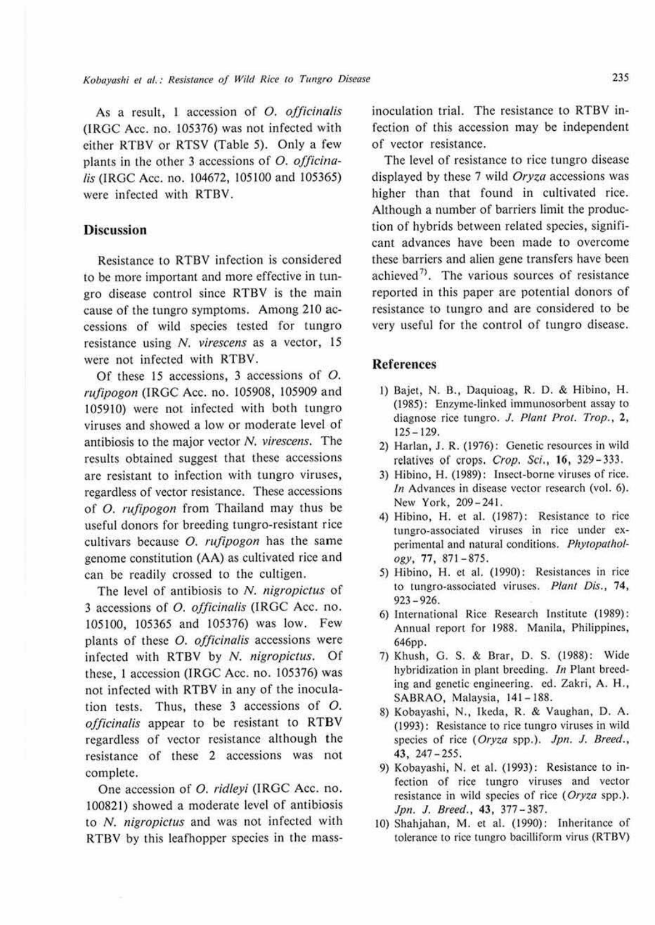As a result, I accession of *0. officinalis*  (IRGC Acc. no. 105376) was not infected with either RTBV or RTSV (Table 5). Only a few plants in the other 3 accessions of *O. officinalis* (IRGC Acc. no. 104672, 105100 and 105365) were infected with RTBV.

# **Discussion**

Resistance to RTBV infection is considered to be more important and more effective in tungro disease control since RTBV is the main cause of the tungro symptoms. Among 210 accessions of wild species tested for tungro resistance using *N. virescens* as a vector, 15 were not infected with RTBV.

Of these 15 accessions, 3 accessions of *0. rufipogon* (IRGC Acc. no. 105908, 105909 and 105910) were not infected with both tungro viruses and showed a low or moderate level of antibiosis to the major vector *N. virescens.* The results obtained suggest that these accessions are resistant to infection with tungro viruses, regardless of vector resistance. These accessions of *0. rufipogon* from Thailand may thus be useful donors for breeding tungro-resistant rice cultivars because *0. rufipogon* has the same genome constitution (AA) as cultivated rice and can be readily crossed to the cultigen.

The level of antibiosis to *N. nigropictus* of 3 accessions of *0. officinalis* (IRGC Acc. no. !05100, 105365 and 105376) was low. Few plants of these *0. officinalis* accessions were infected with RTBV by *N. nigropictus.* Of these, I accession (IRGC Acc. no. 105376) was not infected with RTBV in any of the inoculation tests. Thus, these 3 accessions of *0. officinalis* appear to be resistant to RTBV regardless of vector resistance although the resistance of these 2 accessions was not complete.

One accession of *0. ridleyi* (IRGC Acc. no. 100821) showed a moderate level of antibiosis to *N. nigropictus* and was not infected with RTBV by this leafhopper species in the massinoculation trial. The resistance to RTBV infection of this accession may be independent of vector resistance.

The level of resistance to rice tungro disease displayed by these 7 wild *Oryza* accessions was higher than that found in cultivated rice. Although a number of barriers limit the production of hybrids between related species, significant advances have been made to overcome these barriers and alien gene transfers have been achieved<sup>7</sup>). The various sources of resistance reported in this paper are potential donors of resistance to tungro and are considered to be very useful for the control of tungro disease.

### **References**

- 1) Bajet, N. B., Daquioag, R. D. & Hibino, H. (1985): Enzyme-linked immunosorbent assay 10 diagnose rice tungro. *J. Plant Prot. Trop.*, 2, 125- 129.
- 2) Harlan, J. R. (1976): Genetic resources in wild relatives of crops. Crop. Sci., 16, 329 - 333.
- 3) Hibino, H. ( 1989): Insect-borne viruses of rice. In Advances in disease vector research (vol. 6). New York, 209-241.
- 4) Hibino, H. et al. (1987): Resistance to rice tungro•associated viruses in rice under experimental and natural conditions. Phytopathol $ogy, 77, 871 - 875.$
- 5) Hibino, H. ct al. (1990): Resistances in rice to tungro-associated viruses. Plant Dis., 74, 923-926.
- 6) International Rice Research Institute (1989): Annual report for 1988. Manila, Philippines, 646pp.
- 7) Khush, G. S. & Brar, D. S. (1988): Wide hybridization in plant breeding. In Plant breeding and genetic engineering. ed. Zakri, A. H., SABRAO, Malaysia, 141-188.
- 8) Kobayashi, N., Ikeda, R. & Vaughan, D. A. (1993): Resistance 10 rice tungro viruses in wild species of rice ( *Oryza* spp.). Jpn. J. *Breed.,*  43, 247-255.
- 9) Kobayashi, N. e1 al. (1993): Resistance to infection of rice tungro viruses and vector resistance in wild species of rice (Oryza spp.). Jp11. J. *Breed.,* **43 ,** 377 - 387.
- 10) Shahjahan, **M.** ct al. (1990): Inheritance of tolerance to rice tungro bacilliform virus (RTBV)